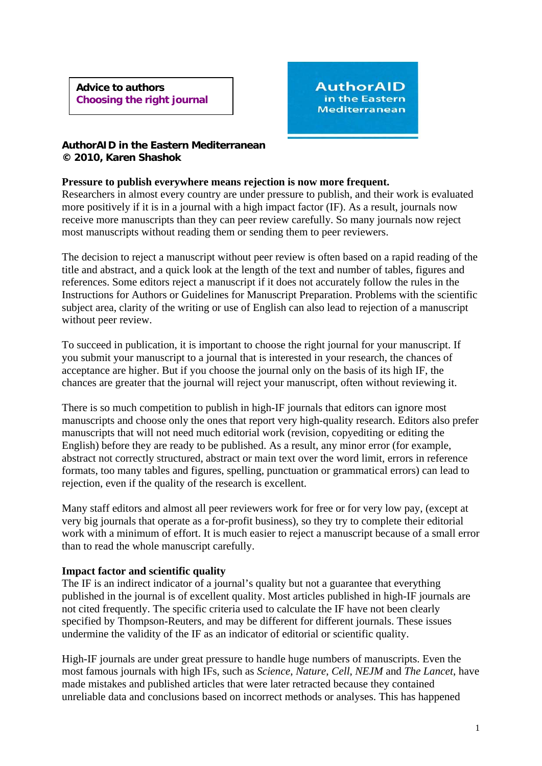**Advice to authors Choosing the right journal** 



### **AuthorAID in the Eastern Mediterranean © 2010, Karen Shashok**

### **Pressure to publish everywhere means rejection is now more frequent.**

Researchers in almost every country are under pressure to publish, and their work is evaluated more positively if it is in a journal with a high impact factor (IF). As a result, journals now receive more manuscripts than they can peer review carefully. So many journals now reject most manuscripts without reading them or sending them to peer reviewers.

The decision to reject a manuscript without peer review is often based on a rapid reading of the title and abstract, and a quick look at the length of the text and number of tables, figures and references. Some editors reject a manuscript if it does not accurately follow the rules in the Instructions for Authors or Guidelines for Manuscript Preparation. Problems with the scientific subject area, clarity of the writing or use of English can also lead to rejection of a manuscript without peer review.

To succeed in publication, it is important to choose the right journal for your manuscript. If you submit your manuscript to a journal that is interested in your research, the chances of acceptance are higher. But if you choose the journal only on the basis of its high IF, the chances are greater that the journal will reject your manuscript, often without reviewing it.

There is so much competition to publish in high-IF journals that editors can ignore most manuscripts and choose only the ones that report very high-quality research. Editors also prefer manuscripts that will not need much editorial work (revision, copyediting or editing the English) before they are ready to be published. As a result, any minor error (for example, abstract not correctly structured, abstract or main text over the word limit, errors in reference formats, too many tables and figures, spelling, punctuation or grammatical errors) can lead to rejection, even if the quality of the research is excellent.

Many staff editors and almost all peer reviewers work for free or for very low pay, (except at very big journals that operate as a for-profit business), so they try to complete their editorial work with a minimum of effort. It is much easier to reject a manuscript because of a small error than to read the whole manuscript carefully.

# **Impact factor and scientific quality**

The IF is an indirect indicator of a journal's quality but not a guarantee that everything published in the journal is of excellent quality. Most articles published in high-IF journals are not cited frequently. The specific criteria used to calculate the IF have not been clearly specified by Thompson-Reuters, and may be different for different journals. These issues undermine the validity of the IF as an indicator of editorial or scientific quality.

High-IF journals are under great pressure to handle huge numbers of manuscripts. Even the most famous journals with high IFs, such as *Science*, *Nature*, *Cell*, *NEJM* and *The Lancet*, have made mistakes and published articles that were later retracted because they contained unreliable data and conclusions based on incorrect methods or analyses. This has happened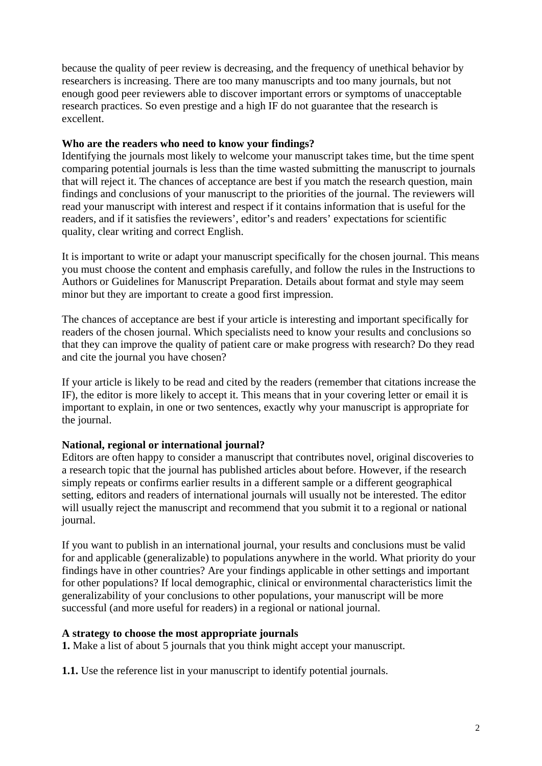because the quality of peer review is decreasing, and the frequency of unethical behavior by researchers is increasing. There are too many manuscripts and too many journals, but not enough good peer reviewers able to discover important errors or symptoms of unacceptable research practices. So even prestige and a high IF do not guarantee that the research is excellent.

# **Who are the readers who need to know your findings?**

Identifying the journals most likely to welcome your manuscript takes time, but the time spent comparing potential journals is less than the time wasted submitting the manuscript to journals that will reject it. The chances of acceptance are best if you match the research question, main findings and conclusions of your manuscript to the priorities of the journal. The reviewers will read your manuscript with interest and respect if it contains information that is useful for the readers, and if it satisfies the reviewers', editor's and readers' expectations for scientific quality, clear writing and correct English.

It is important to write or adapt your manuscript specifically for the chosen journal. This means you must choose the content and emphasis carefully, and follow the rules in the Instructions to Authors or Guidelines for Manuscript Preparation. Details about format and style may seem minor but they are important to create a good first impression.

The chances of acceptance are best if your article is interesting and important specifically for readers of the chosen journal. Which specialists need to know your results and conclusions so that they can improve the quality of patient care or make progress with research? Do they read and cite the journal you have chosen?

If your article is likely to be read and cited by the readers (remember that citations increase the IF), the editor is more likely to accept it. This means that in your covering letter or email it is important to explain, in one or two sentences, exactly why your manuscript is appropriate for the journal.

### **National, regional or international journal?**

Editors are often happy to consider a manuscript that contributes novel, original discoveries to a research topic that the journal has published articles about before. However, if the research simply repeats or confirms earlier results in a different sample or a different geographical setting, editors and readers of international journals will usually not be interested. The editor will usually reject the manuscript and recommend that you submit it to a regional or national journal.

If you want to publish in an international journal, your results and conclusions must be valid for and applicable (generalizable) to populations anywhere in the world. What priority do your findings have in other countries? Are your findings applicable in other settings and important for other populations? If local demographic, clinical or environmental characteristics limit the generalizability of your conclusions to other populations, your manuscript will be more successful (and more useful for readers) in a regional or national journal.

### **A strategy to choose the most appropriate journals**

**1.** Make a list of about 5 journals that you think might accept your manuscript.

**1.1.** Use the reference list in your manuscript to identify potential journals.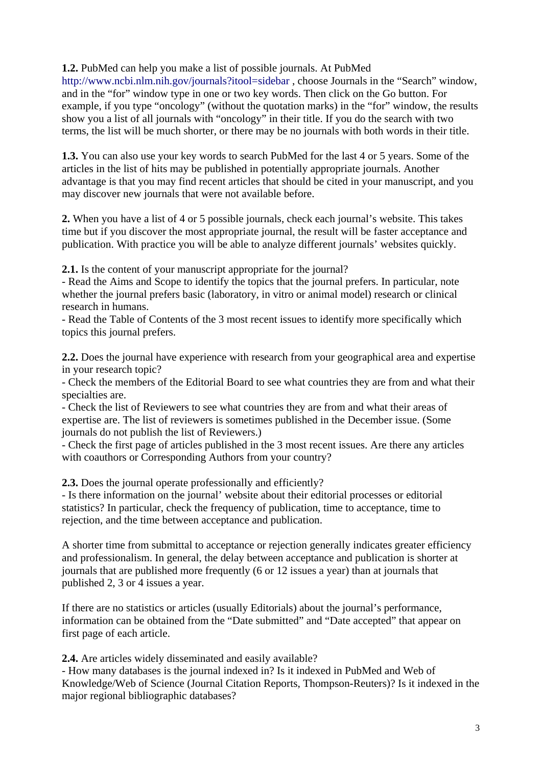**1.2.** PubMed can help you make a list of possible journals. At PubMed

http://www.ncbi.nlm.nih.gov/journals?itool=sidebar , choose Journals in the "Search" window, and in the "for" window type in one or two key words. Then click on the Go button. For example, if you type "oncology" (without the quotation marks) in the "for" window, the results show you a list of all journals with "oncology" in their title. If you do the search with two terms, the list will be much shorter, or there may be no journals with both words in their title.

**1.3.** You can also use your key words to search PubMed for the last 4 or 5 years. Some of the articles in the list of hits may be published in potentially appropriate journals. Another advantage is that you may find recent articles that should be cited in your manuscript, and you may discover new journals that were not available before.

**2.** When you have a list of 4 or 5 possible journals, check each journal's website. This takes time but if you discover the most appropriate journal, the result will be faster acceptance and publication. With practice you will be able to analyze different journals' websites quickly.

**2.1.** Is the content of your manuscript appropriate for the journal?

- Read the Aims and Scope to identify the topics that the journal prefers. In particular, note whether the journal prefers basic (laboratory, in vitro or animal model) research or clinical research in humans.

- Read the Table of Contents of the 3 most recent issues to identify more specifically which topics this journal prefers.

**2.2.** Does the journal have experience with research from your geographical area and expertise in your research topic?

- Check the members of the Editorial Board to see what countries they are from and what their specialties are.

- Check the list of Reviewers to see what countries they are from and what their areas of expertise are. The list of reviewers is sometimes published in the December issue. (Some journals do not publish the list of Reviewers.)

- Check the first page of articles published in the 3 most recent issues. Are there any articles with coauthors or Corresponding Authors from your country?

**2.3.** Does the journal operate professionally and efficiently?

- Is there information on the journal' website about their editorial processes or editorial statistics? In particular, check the frequency of publication, time to acceptance, time to rejection, and the time between acceptance and publication.

A shorter time from submittal to acceptance or rejection generally indicates greater efficiency and professionalism. In general, the delay between acceptance and publication is shorter at journals that are published more frequently (6 or 12 issues a year) than at journals that published 2, 3 or 4 issues a year.

If there are no statistics or articles (usually Editorials) about the journal's performance, information can be obtained from the "Date submitted" and "Date accepted" that appear on first page of each article.

**2.4.** Are articles widely disseminated and easily available?

- How many databases is the journal indexed in? Is it indexed in PubMed and Web of Knowledge/Web of Science (Journal Citation Reports, Thompson-Reuters)? Is it indexed in the major regional bibliographic databases?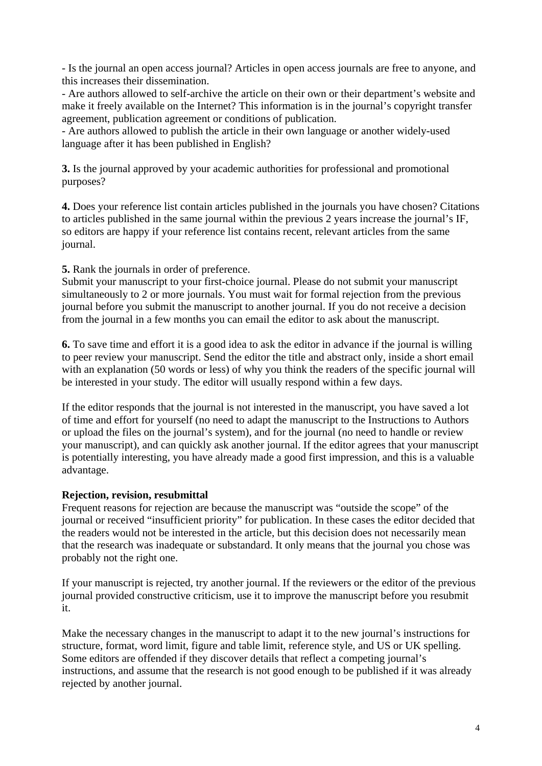- Is the journal an open access journal? Articles in open access journals are free to anyone, and this increases their dissemination.

- Are authors allowed to self-archive the article on their own or their department's website and make it freely available on the Internet? This information is in the journal's copyright transfer agreement, publication agreement or conditions of publication.

- Are authors allowed to publish the article in their own language or another widely-used language after it has been published in English?

**3.** Is the journal approved by your academic authorities for professional and promotional purposes?

**4.** Does your reference list contain articles published in the journals you have chosen? Citations to articles published in the same journal within the previous 2 years increase the journal's IF, so editors are happy if your reference list contains recent, relevant articles from the same journal.

**5.** Rank the journals in order of preference.

Submit your manuscript to your first-choice journal. Please do not submit your manuscript simultaneously to 2 or more journals. You must wait for formal rejection from the previous journal before you submit the manuscript to another journal. If you do not receive a decision from the journal in a few months you can email the editor to ask about the manuscript.

**6.** To save time and effort it is a good idea to ask the editor in advance if the journal is willing to peer review your manuscript. Send the editor the title and abstract only, inside a short email with an explanation (50 words or less) of why you think the readers of the specific journal will be interested in your study. The editor will usually respond within a few days.

If the editor responds that the journal is not interested in the manuscript, you have saved a lot of time and effort for yourself (no need to adapt the manuscript to the Instructions to Authors or upload the files on the journal's system), and for the journal (no need to handle or review your manuscript), and can quickly ask another journal. If the editor agrees that your manuscript is potentially interesting, you have already made a good first impression, and this is a valuable advantage.

# **Rejection, revision, resubmittal**

Frequent reasons for rejection are because the manuscript was "outside the scope" of the journal or received "insufficient priority" for publication. In these cases the editor decided that the readers would not be interested in the article, but this decision does not necessarily mean that the research was inadequate or substandard. It only means that the journal you chose was probably not the right one.

If your manuscript is rejected, try another journal. If the reviewers or the editor of the previous journal provided constructive criticism, use it to improve the manuscript before you resubmit it.

Make the necessary changes in the manuscript to adapt it to the new journal's instructions for structure, format, word limit, figure and table limit, reference style, and US or UK spelling. Some editors are offended if they discover details that reflect a competing journal's instructions, and assume that the research is not good enough to be published if it was already rejected by another journal.